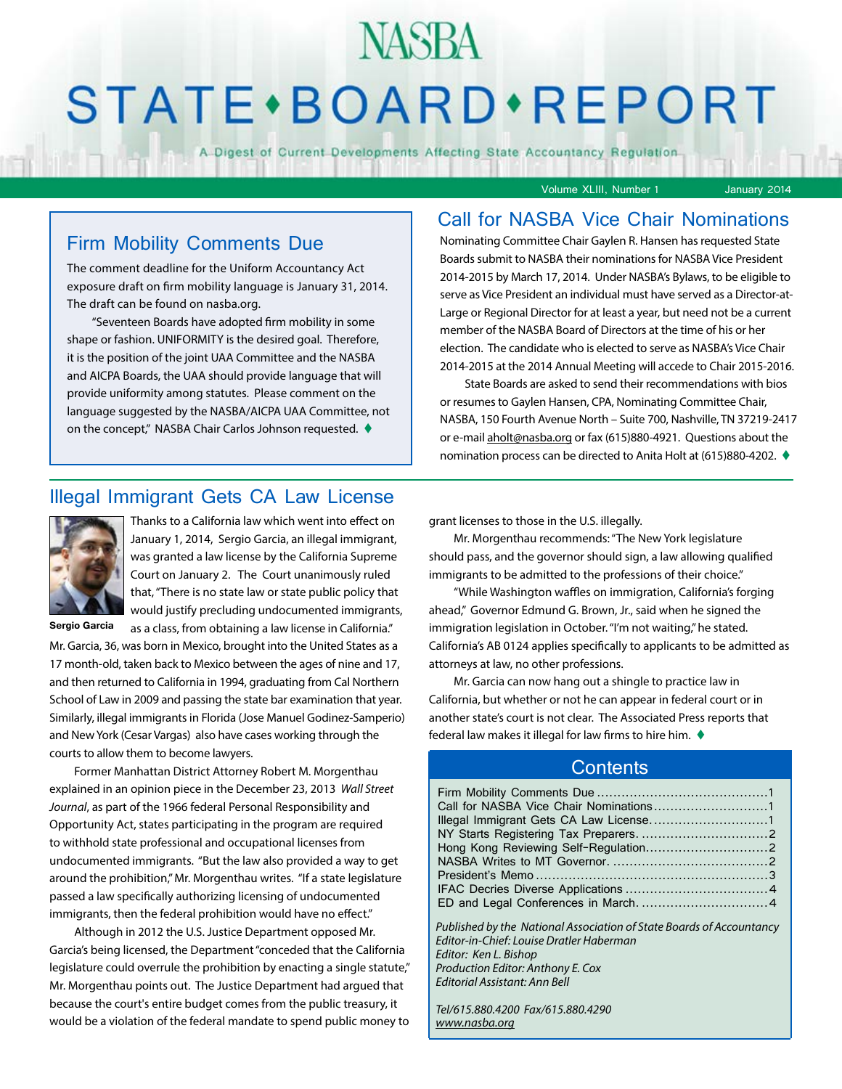## **STATE** · BOARD · REPORT

**NASBA** 

A Digest of Current Developments Affecting State Accountancy Regulation

Volume XLIII, Number 1 January 2014

#### Firm Mobility Comments Due

The comment deadline for the Uniform Accountancy Act exposure draft on firm mobility language is January 31, 2014. The draft can be found on nasba.org.

"Seventeen Boards have adopted firm mobility in some shape or fashion. UNIFORMITY is the desired goal. Therefore, it is the position of the joint UAA Committee and the NASBA and AICPA Boards, the UAA should provide language that will provide uniformity among statutes. Please comment on the language suggested by the NASBA/AICPA UAA Committee, not on the concept," NASBA Chair Carlos Johnson requested.  $\blacklozenge$ 

#### Call for NASBA Vice Chair Nominations

Nominating Committee Chair Gaylen R. Hansen has requested State Boards submit to NASBA their nominations for NASBA Vice President 2014-2015 by March 17, 2014. Under NASBA's Bylaws, to be eligible to serve as Vice President an individual must have served as a Director-at-Large or Regional Director for at least a year, but need not be a current member of the NASBA Board of Directors at the time of his or her election. The candidate who is elected to serve as NASBA's Vice Chair 2014-2015 at the 2014 Annual Meeting will accede to Chair 2015-2016.

State Boards are asked to send their recommendations with bios or resumes to Gaylen Hansen, CPA, Nominating Committee Chair, NASBA, 150 Fourth Avenue North – Suite 700, Nashville, TN 37219-2417 or e-mail [aholt@nasba.org](mailto:aholt%40nasba.org?subject=NASBA%20Vice%20Chair%20Nomination) or fax (615)880-4921. Questions about the nomination process can be directed to Anita Holt at (615)880-4202. ♦

#### Illegal Immigrant Gets CA Law License



Thanks to a California law which went into effect on January 1, 2014, Sergio Garcia, an illegal immigrant, was granted a law license by the California Supreme Court on January 2. The Court unanimously ruled that, "There is no state law or state public policy that would justify precluding undocumented immigrants, as a class, from obtaining a law license in California."

**Sergio Garcia**

Mr. Garcia, 36, was born in Mexico, brought into the United States as a 17 month-old, taken back to Mexico between the ages of nine and 17, and then returned to California in 1994, graduating from Cal Northern School of Law in 2009 and passing the state bar examination that year. Similarly, illegal immigrants in Florida (Jose Manuel Godinez-Samperio) and New York (Cesar Vargas) also have cases working through the courts to allow them to become lawyers.

Former Manhattan District Attorney Robert M. Morgenthau explained in an opinion piece in the December 23, 2013 *Wall Street Journal*, as part of the 1966 federal Personal Responsibility and Opportunity Act, states participating in the program are required to withhold state professional and occupational licenses from undocumented immigrants. "But the law also provided a way to get around the prohibition," Mr. Morgenthau writes. "If a state legislature passed a law specifically authorizing licensing of undocumented immigrants, then the federal prohibition would have no effect."

Although in 2012 the U.S. Justice Department opposed Mr. Garcia's being licensed, the Department "conceded that the California legislature could overrule the prohibition by enacting a single statute," Mr. Morgenthau points out. The Justice Department had argued that because the court's entire budget comes from the public treasury, it would be a violation of the federal mandate to spend public money to

grant licenses to those in the U.S. illegally.

Mr. Morgenthau recommends: "The New York legislature should pass, and the governor should sign, a law allowing qualified immigrants to be admitted to the professions of their choice."

"While Washington waffles on immigration, California's forging ahead," Governor Edmund G. Brown, Jr., said when he signed the immigration legislation in October. "I'm not waiting," he stated. California's AB 0124 applies specifically to applicants to be admitted as attorneys at law, no other professions.

Mr. Garcia can now hang out a shingle to practice law in California, but whether or not he can appear in federal court or in another state's court is not clear. The Associated Press reports that federal law makes it illegal for law firms to hire him.  $\blacklozenge$ 

#### **Contents**

| Published by the National Association of State Boards of Accountancy<br><b>Editor-in-Chief: Louise Dratler Haberman</b><br>Editor: Ken L. Bishop<br>Production Editor: Anthony E. Cox<br>Editorial Assistant: Ann Bell |  |
|------------------------------------------------------------------------------------------------------------------------------------------------------------------------------------------------------------------------|--|

*Tel/615.880.4200 Fax/615.880.4290 [www.nasba.org](http://www.nasba.org)*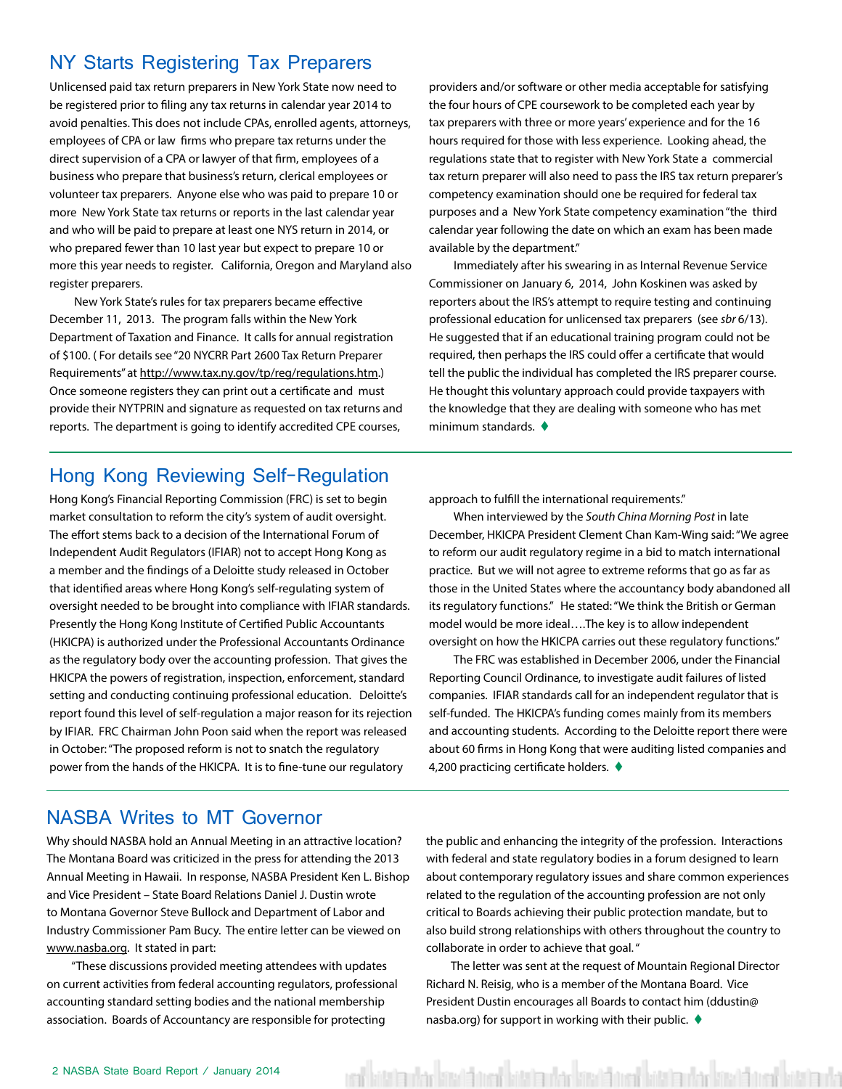#### <span id="page-1-0"></span>NY Starts Registering Tax Preparers

Unlicensed paid tax return preparers in New York State now need to be registered prior to filing any tax returns in calendar year 2014 to avoid penalties. This does not include CPAs, enrolled agents, attorneys, employees of CPA or law firms who prepare tax returns under the direct supervision of a CPA or lawyer of that firm, employees of a business who prepare that business's return, clerical employees or volunteer tax preparers. Anyone else who was paid to prepare 10 or more New York State tax returns or reports in the last calendar year and who will be paid to prepare at least one NYS return in 2014, or who prepared fewer than 10 last year but expect to prepare 10 or more this year needs to register. California, Oregon and Maryland also register preparers.

New York State's rules for tax preparers became effective December 11, 2013. The program falls within the New York Department of Taxation and Finance. It calls for annual registration of \$100. ( For details see "20 NYCRR Part 2600 Tax Return Preparer Requirements" at [http://www.tax.ny.gov/tp/reg/regulations.htm.](http://www.tax.ny.gov/tp/reg/regulations.htm)) Once someone registers they can print out a certificate and must provide their NYTPRIN and signature as requested on tax returns and reports. The department is going to identify accredited CPE courses,

providers and/or software or other media acceptable for satisfying the four hours of CPE coursework to be completed each year by tax preparers with three or more years' experience and for the 16 hours required for those with less experience. Looking ahead, the regulations state that to register with New York State a commercial tax return preparer will also need to pass the IRS tax return preparer's competency examination should one be required for federal tax purposes and a New York State competency examination "the third calendar year following the date on which an exam has been made available by the department."

Immediately after his swearing in as Internal Revenue Service Commissioner on January 6, 2014, John Koskinen was asked by reporters about the IRS's attempt to require testing and continuing professional education for unlicensed tax preparers (see *sbr* 6/13). He suggested that if an educational training program could not be required, then perhaps the IRS could offer a certificate that would tell the public the individual has completed the IRS preparer course. He thought this voluntary approach could provide taxpayers with the knowledge that they are dealing with someone who has met minimum standards.  $\blacklozenge$ 

#### Hong Kong Reviewing Self-Regulation

Hong Kong's Financial Reporting Commission (FRC) is set to begin market consultation to reform the city's system of audit oversight. The effort stems back to a decision of the International Forum of Independent Audit Regulators (IFIAR) not to accept Hong Kong as a member and the findings of a Deloitte study released in October that identified areas where Hong Kong's self-regulating system of oversight needed to be brought into compliance with IFIAR standards. Presently the Hong Kong Institute of Certified Public Accountants (HKICPA) is authorized under the Professional Accountants Ordinance as the regulatory body over the accounting profession. That gives the HKICPA the powers of registration, inspection, enforcement, standard setting and conducting continuing professional education. Deloitte's report found this level of self-regulation a major reason for its rejection by IFIAR. FRC Chairman John Poon said when the report was released in October: "The proposed reform is not to snatch the regulatory power from the hands of the HKICPA. It is to fine-tune our regulatory

approach to fulfill the international requirements."

When interviewed by the *South China Morning Post* in late December, HKICPA President Clement Chan Kam-Wing said: "We agree to reform our audit regulatory regime in a bid to match international practice. But we will not agree to extreme reforms that go as far as those in the United States where the accountancy body abandoned all its regulatory functions." He stated: "We think the British or German model would be more ideal….The key is to allow independent oversight on how the HKICPA carries out these regulatory functions."

The FRC was established in December 2006, under the Financial Reporting Council Ordinance, to investigate audit failures of listed companies. IFIAR standards call for an independent regulator that is self-funded. The HKICPA's funding comes mainly from its members and accounting students. According to the Deloitte report there were about 60 firms in Hong Kong that were auditing listed companies and 4,200 practicing certificate holders.  $\blacklozenge$ 

#### NASBA Writes to MT Governor

Why should NASBA hold an Annual Meeting in an attractive location? The Montana Board was criticized in the press for attending the 2013 Annual Meeting in Hawaii. In response, NASBA President Ken L. Bishop and Vice President – State Board Relations Daniel J. Dustin wrote to Montana Governor Steve Bullock and Department of Labor and Industry Commissioner Pam Bucy. The entire letter can be viewed on [www.nasba.org](http://www.nasba.org). It stated in part:

"These discussions provided meeting attendees with updates on current activities from federal accounting regulators, professional accounting standard setting bodies and the national membership association. Boards of Accountancy are responsible for protecting

the public and enhancing the integrity of the profession. Interactions with federal and state regulatory bodies in a forum designed to learn about contemporary regulatory issues and share common experiences related to the regulation of the accounting profession are not only critical to Boards achieving their public protection mandate, but to also build strong relationships with others throughout the country to collaborate in order to achieve that goal. "

The letter was sent at the request of Mountain Regional Director Richard N. Reisig, who is a member of the Montana Board. Vice President Dustin encourages all Boards to contact him (ddustin@ nasba.org) for support in working with their public.  $\triangleleft$ 

ual bitatautan bitatat na loitatautan bitatatual bitatautan bitatautan bitatauta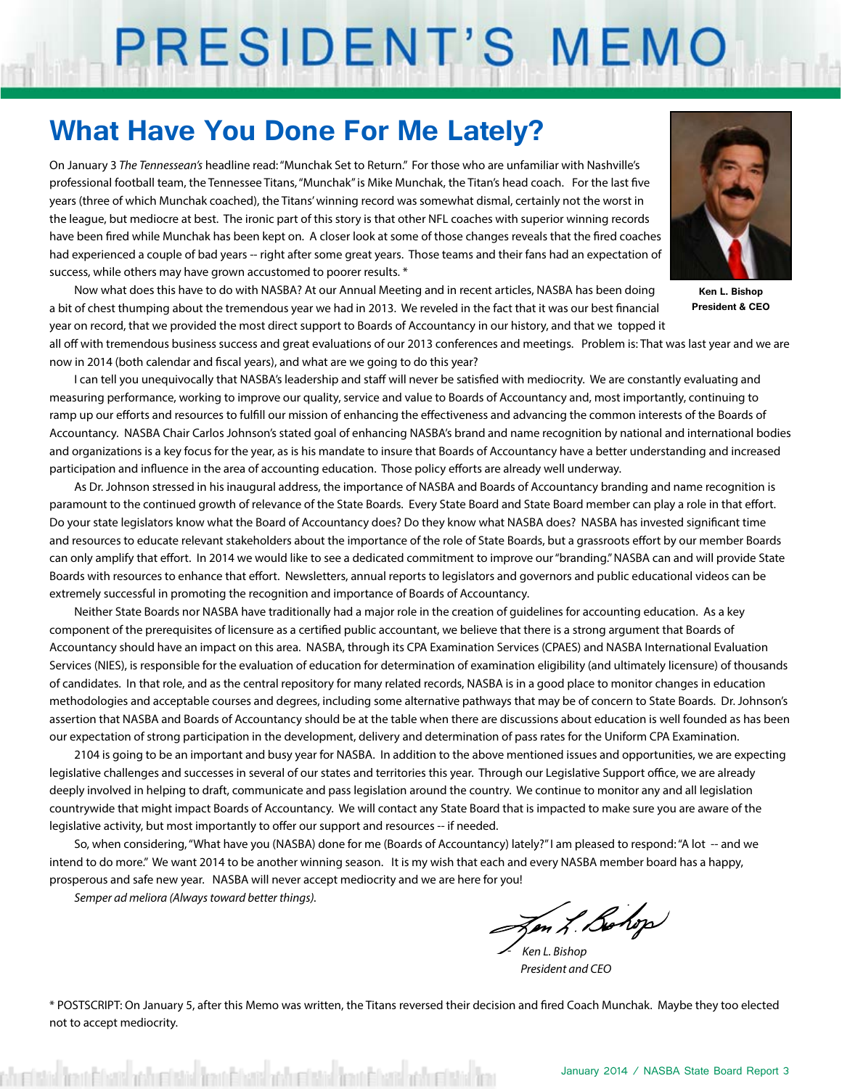# PRESIDENT'S MEMO

## **What Have You Done For Me Lately?**

On January 3 *The Tennessean's* headline read: "Munchak Set to Return." For those who are unfamiliar with Nashville's professional football team, the Tennessee Titans, "Munchak" is Mike Munchak, the Titan's head coach. For the last five years (three of which Munchak coached), the Titans' winning record was somewhat dismal, certainly not the worst in the league, but mediocre at best. The ironic part of this story is that other NFL coaches with superior winning records have been fired while Munchak has been kept on. A closer look at some of those changes reveals that the fired coaches had experienced a couple of bad years -- right after some great years. Those teams and their fans had an expectation of success, while others may have grown accustomed to poorer results. \*

Now what does this have to do with NASBA? At our Annual Meeting and in recent articles, NASBA has been doing a bit of chest thumping about the tremendous year we had in 2013. We reveled in the fact that it was our best financial year on record, that we provided the most direct support to Boards of Accountancy in our history, and that we topped it

**Ken L. Bishop President & CEO**

all off with tremendous business success and great evaluations of our 2013 conferences and meetings. Problem is: That was last year and we are now in 2014 (both calendar and fiscal years), and what are we going to do this year?

I can tell you unequivocally that NASBA's leadership and staff will never be satisfied with mediocrity. We are constantly evaluating and measuring performance, working to improve our quality, service and value to Boards of Accountancy and, most importantly, continuing to ramp up our efforts and resources to fulfill our mission of enhancing the effectiveness and advancing the common interests of the Boards of Accountancy. NASBA Chair Carlos Johnson's stated goal of enhancing NASBA's brand and name recognition by national and international bodies and organizations is a key focus for the year, as is his mandate to insure that Boards of Accountancy have a better understanding and increased participation and influence in the area of accounting education. Those policy efforts are already well underway.

As Dr. Johnson stressed in his inaugural address, the importance of NASBA and Boards of Accountancy branding and name recognition is paramount to the continued growth of relevance of the State Boards. Every State Board and State Board member can play a role in that effort. Do your state legislators know what the Board of Accountancy does? Do they know what NASBA does? NASBA has invested significant time and resources to educate relevant stakeholders about the importance of the role of State Boards, but a grassroots effort by our member Boards can only amplify that effort. In 2014 we would like to see a dedicated commitment to improve our "branding." NASBA can and will provide State Boards with resources to enhance that effort. Newsletters, annual reports to legislators and governors and public educational videos can be extremely successful in promoting the recognition and importance of Boards of Accountancy.

Neither State Boards nor NASBA have traditionally had a major role in the creation of guidelines for accounting education. As a key component of the prerequisites of licensure as a certified public accountant, we believe that there is a strong argument that Boards of Accountancy should have an impact on this area. NASBA, through its CPA Examination Services (CPAES) and NASBA International Evaluation Services (NIES), is responsible for the evaluation of education for determination of examination eligibility (and ultimately licensure) of thousands of candidates. In that role, and as the central repository for many related records, NASBA is in a good place to monitor changes in education methodologies and acceptable courses and degrees, including some alternative pathways that may be of concern to State Boards. Dr. Johnson's assertion that NASBA and Boards of Accountancy should be at the table when there are discussions about education is well founded as has been our expectation of strong participation in the development, delivery and determination of pass rates for the Uniform CPA Examination.

2104 is going to be an important and busy year for NASBA. In addition to the above mentioned issues and opportunities, we are expecting legislative challenges and successes in several of our states and territories this year. Through our Legislative Support office, we are already deeply involved in helping to draft, communicate and pass legislation around the country. We continue to monitor any and all legislation countrywide that might impact Boards of Accountancy. We will contact any State Board that is impacted to make sure you are aware of the legislative activity, but most importantly to offer our support and resources -- if needed.

So, when considering, "What have you (NASBA) done for me (Boards of Accountancy) lately?" I am pleased to respond: "A lot -- and we intend to do more." We want 2014 to be another winning season. It is my wish that each and every NASBA member board has a happy, prosperous and safe new year. NASBA will never accept mediocrity and we are here for you!

*Semper ad meliora (Always toward better things).*

In L. Bohop

 *- Ken L. Bishop President and CEO*

\* POSTSCRIPT: On January 5, after this Memo was written, the Titans reversed their decision and fired Coach Munchak. Maybe they too elected not to accept mediocrity.

ste <mark>ten bleve</mark> och elste ten blev och elste ten blev och elste <mark>t</mark>e